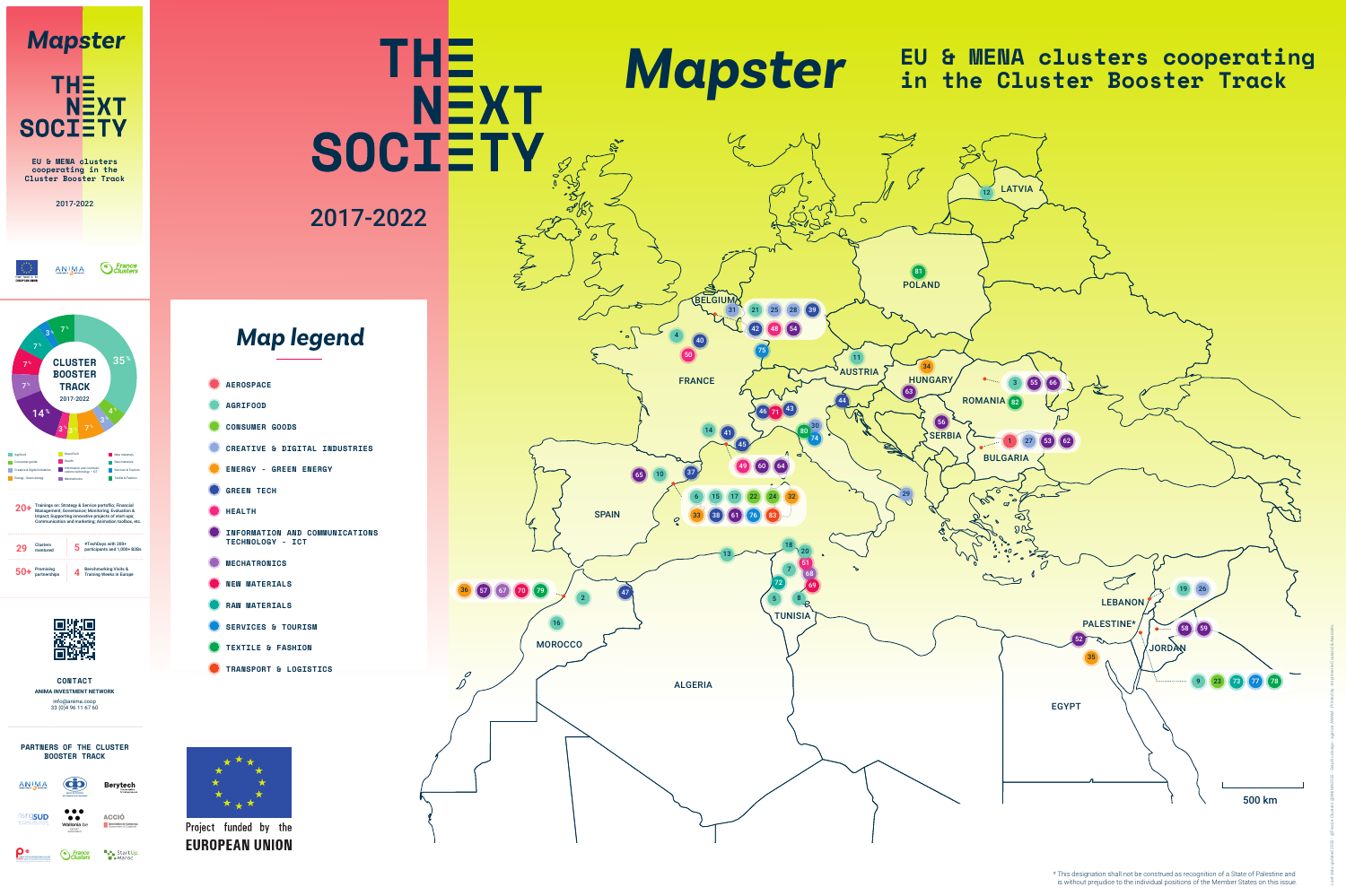# 2017-2022



## **PARTNERS OF THE CLUSTER BOOSTER TRACK**

CO



**Berytech** 







**A<sub>S</sub>** StartUp *<u>S* France</u>



Project funded by the **EUROPEAN UNION** 





**CONTACT ANIMA INVESTMENT NETWORK** info@anima.coop 33 (0)4 96 11 67 60





| <b>AEROSPACE</b>                                                                   |
|------------------------------------------------------------------------------------|
| <b>AGRIFOOD</b>                                                                    |
| <b>CONSUMER GOODS</b>                                                              |
| <b>CREATIVE &amp; DIGITAL INDUSTRIES</b>                                           |
| <b>ENERGY - GREEN ENERGY</b>                                                       |
| <b>GREEN TECH</b>                                                                  |
| <b>HEALTH</b>                                                                      |
| <b>INFORMATION AND COMMUNICATIONS</b><br><b>TECHNOLOGY</b><br><b>TCT</b><br>$\sim$ |
| <b>MECHATRONICS</b>                                                                |
| <b>MATERIALS</b><br>NEW                                                            |
| <b>RAW MATERIALS</b>                                                               |
| <b>SERVICES &amp; TOURISM</b>                                                      |
| <b>TEXTILE &amp; FASHION</b>                                                       |
| <b>TRANSPORT &amp; LOGISTICS</b>                                                   |